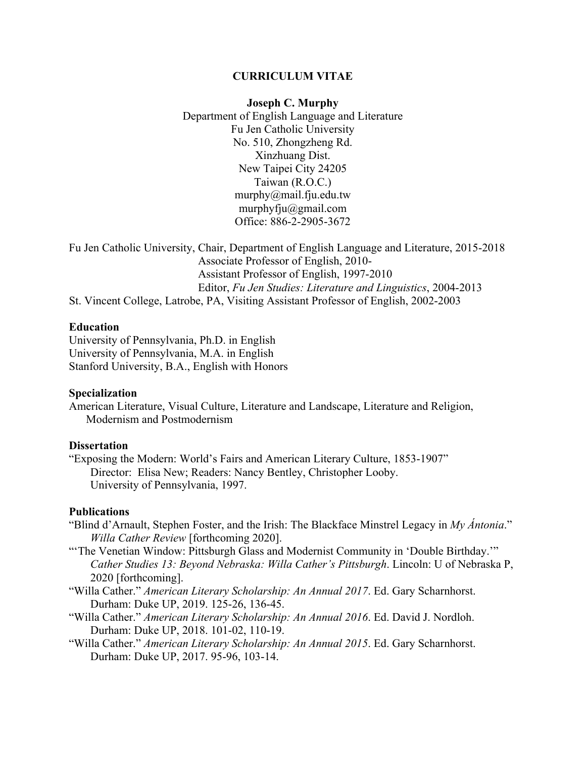### **CURRICULUM VITAE**

#### **Joseph C. Murphy**

Department of English Language and Literature Fu Jen Catholic University No. 510, Zhongzheng Rd. Xinzhuang Dist. New Taipei City 24205 Taiwan (R.O.C.) murphy@mail.fju.edu.tw murphyfju@gmail.com Office: 886-2-2905-3672

Fu Jen Catholic University, Chair, Department of English Language and Literature, 2015-2018 Associate Professor of English, 2010- Assistant Professor of English, 1997-2010 Editor, *Fu Jen Studies: Literature and Linguistics*, 2004-2013 St. Vincent College, Latrobe, PA, Visiting Assistant Professor of English, 2002-2003

#### **Education**

University of Pennsylvania, Ph.D. in English University of Pennsylvania, M.A. in English Stanford University, B.A., English with Honors

#### **Specialization**

American Literature, Visual Culture, Literature and Landscape, Literature and Religion, Modernism and Postmodernism

### **Dissertation**

"Exposing the Modern: World's Fairs and American Literary Culture, 1853-1907" Director: Elisa New; Readers: Nancy Bentley, Christopher Looby. University of Pennsylvania, 1997.

### **Publications**

- "Blind d'Arnault, Stephen Foster, and the Irish: The Blackface Minstrel Legacy in *My Ántonia*." *Willa Cather Review* [forthcoming 2020].
- "'The Venetian Window: Pittsburgh Glass and Modernist Community in 'Double Birthday.'" *Cather Studies 13: Beyond Nebraska: Willa Cather's Pittsburgh*. Lincoln: U of Nebraska P, 2020 [forthcoming].
- "Willa Cather." *American Literary Scholarship: An Annual 2017*. Ed. Gary Scharnhorst. Durham: Duke UP, 2019. 125-26, 136-45.
- "Willa Cather." *American Literary Scholarship: An Annual 2016*. Ed. David J. Nordloh. Durham: Duke UP, 2018. 101-02, 110-19.
- "Willa Cather." *American Literary Scholarship: An Annual 2015*. Ed. Gary Scharnhorst. Durham: Duke UP, 2017. 95-96, 103-14.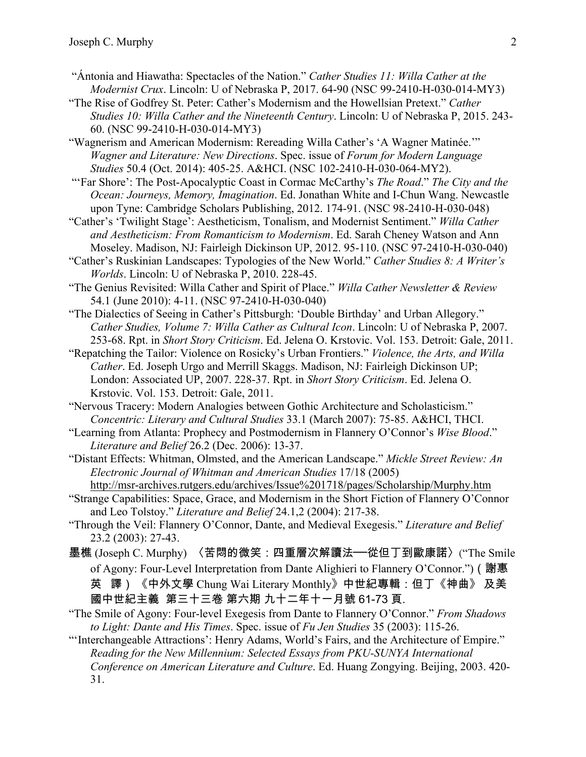- "Ántonia and Hiawatha: Spectacles of the Nation." *Cather Studies 11: Willa Cather at the Modernist Crux*. Lincoln: U of Nebraska P, 2017. 64-90 (NSC 99-2410-H-030-014-MY3)
- "The Rise of Godfrey St. Peter: Cather's Modernism and the Howellsian Pretext." *Cather Studies 10: Willa Cather and the Nineteenth Century*. Lincoln: U of Nebraska P, 2015. 243- 60. (NSC 99-2410-H-030-014-MY3)
- "Wagnerism and American Modernism: Rereading Willa Cather's 'A Wagner Matinée.'" *Wagner and Literature: New Directions*. Spec. issue of *Forum for Modern Language Studies* 50.4 (Oct. 2014): 405-25. A&HCI. (NSC 102-2410-H-030-064-MY2).
- "'Far Shore': The Post-Apocalyptic Coast in Cormac McCarthy's *The Road*." *The City and the Ocean: Journeys, Memory, Imagination*. Ed. Jonathan White and I-Chun Wang. Newcastle upon Tyne: Cambridge Scholars Publishing, 2012. 174-91. (NSC 98-2410-H-030-048)
- "Cather's 'Twilight Stage': Aestheticism, Tonalism, and Modernist Sentiment." *Willa Cather and Aestheticism: From Romanticism to Modernism*. Ed. Sarah Cheney Watson and Ann Moseley. Madison, NJ: Fairleigh Dickinson UP, 2012. 95-110. (NSC 97-2410-H-030-040)
- "Cather's Ruskinian Landscapes: Typologies of the New World." *Cather Studies 8: A Writer's Worlds*. Lincoln: U of Nebraska P, 2010. 228-45.
- "The Genius Revisited: Willa Cather and Spirit of Place." *Willa Cather Newsletter & Review* 54.1 (June 2010): 4-11. (NSC 97-2410-H-030-040)
- "The Dialectics of Seeing in Cather's Pittsburgh: 'Double Birthday' and Urban Allegory." *Cather Studies, Volume 7: Willa Cather as Cultural Icon*. Lincoln: U of Nebraska P, 2007. 253-68. Rpt. in *Short Story Criticism*. Ed. Jelena O. Krstovic. Vol. 153. Detroit: Gale, 2011.
- "Repatching the Tailor: Violence on Rosicky's Urban Frontiers." *Violence, the Arts, and Willa Cather*. Ed. Joseph Urgo and Merrill Skaggs. Madison, NJ: Fairleigh Dickinson UP; London: Associated UP, 2007. 228-37. Rpt. in *Short Story Criticism*. Ed. Jelena O. Krstovic. Vol. 153. Detroit: Gale, 2011.
- "Nervous Tracery: Modern Analogies between Gothic Architecture and Scholasticism." *Concentric: Literary and Cultural Studies* 33.1 (March 2007): 75-85. A&HCI, THCI.
- "Learning from Atlanta: Prophecy and Postmodernism in Flannery O'Connor's *Wise Blood*." *Literature and Belief* 26.2 (Dec. 2006): 13-37.
- "Distant Effects: Whitman, Olmsted, and the American Landscape." *Mickle Street Review: An Electronic Journal of Whitman and American Studies* 17/18 (2005) http://msr-archives.rutgers.edu/archives/Issue%201718/pages/Scholarship/Murphy.htm
- "Strange Capabilities: Space, Grace, and Modernism in the Short Fiction of Flannery O'Connor and Leo Tolstoy." *Literature and Belief* 24.1,2 (2004): 217-38.
- "Through the Veil: Flannery O'Connor, Dante, and Medieval Exegesis." *Literature and Belief* 23.2 (2003): 27-43.
- 墨樵 (Joseph C. Murphy) 〈苦悶的微笑:四重層次解讀法──從但丁到歐康諾〉("The Smile of Agony: Four-Level Interpretation from Dante Alighieri to Flannery O'Connor.") (謝惠 英 譯) 《中外文學 Chung Wai Literary Monthly》中世紀專輯:但丁《神曲》 及美 國中世紀主義 第三十三卷 第六期 九十二年十一月號 61-73 頁.
- "The Smile of Agony: Four-level Exegesis from Dante to Flannery O'Connor." *From Shadows to Light: Dante and His Times*. Spec. issue of *Fu Jen Studies* 35 (2003): 115-26.
- "'Interchangeable Attractions': Henry Adams, World's Fairs, and the Architecture of Empire." *Reading for the New Millennium: Selected Essays from PKU-SUNYA International Conference on American Literature and Culture*. Ed. Huang Zongying. Beijing, 2003. 420- 31.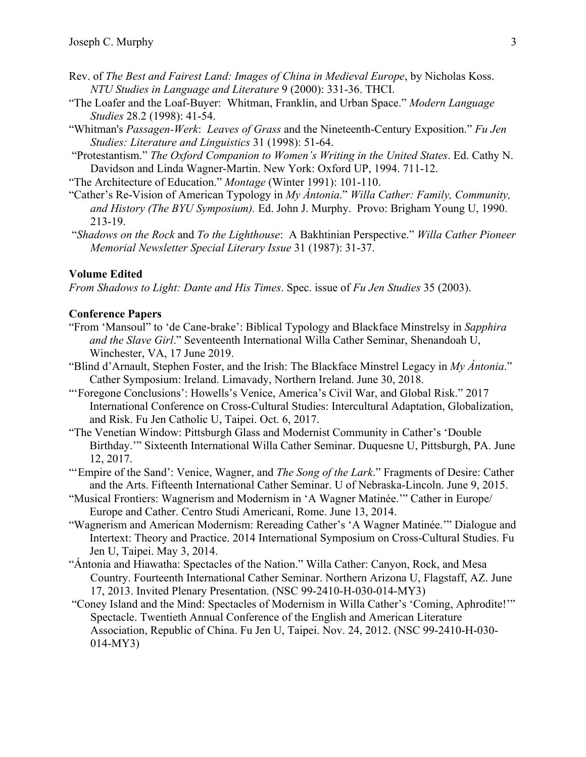- Rev. of *The Best and Fairest Land: Images of China in Medieval Europe*, by Nicholas Koss. *NTU Studies in Language and Literature* 9 (2000): 331-36. THCI.
- "The Loafer and the Loaf-Buyer: Whitman, Franklin, and Urban Space." *Modern Language Studies* 28.2 (1998): 41-54.
- "Whitman's *Passagen-Werk*: *Leaves of Grass* and the Nineteenth-Century Exposition." *Fu Jen Studies: Literature and Linguistics* 31 (1998): 51-64.
- "Protestantism." *The Oxford Companion to Women's Writing in the United States*. Ed. Cathy N. Davidson and Linda Wagner-Martin. New York: Oxford UP, 1994. 711-12.
- "The Architecture of Education." *Montage* (Winter 1991): 101-110.
- "Cather's Re-Vision of American Typology in *My Ántonia*." *Willa Cather: Family, Community, and History (The BYU Symposium).* Ed. John J. Murphy. Provo: Brigham Young U, 1990. 213-19.
- "*Shadows on the Rock* and *To the Lighthouse*: A Bakhtinian Perspective." *Willa Cather Pioneer Memorial Newsletter Special Literary Issue* 31 (1987): 31-37.

### **Volume Edited**

*From Shadows to Light: Dante and His Times*. Spec. issue of *Fu Jen Studies* 35 (2003).

### **Conference Papers**

- "From 'Mansoul" to 'de Cane-brake': Biblical Typology and Blackface Minstrelsy in *Sapphira and the Slave Girl*." Seventeenth International Willa Cather Seminar, Shenandoah U, Winchester, VA, 17 June 2019.
- "Blind d'Arnault, Stephen Foster, and the Irish: The Blackface Minstrel Legacy in *My Ántonia*." Cather Symposium: Ireland. Limavady, Northern Ireland. June 30, 2018.
- "'Foregone Conclusions': Howells's Venice, America's Civil War, and Global Risk." 2017 International Conference on Cross-Cultural Studies: Intercultural Adaptation, Globalization, and Risk. Fu Jen Catholic U, Taipei. Oct. 6, 2017.
- "The Venetian Window: Pittsburgh Glass and Modernist Community in Cather's 'Double Birthday.'" Sixteenth International Willa Cather Seminar. Duquesne U, Pittsburgh, PA. June 12, 2017.
- "'Empire of the Sand': Venice, Wagner, and *The Song of the Lark*." Fragments of Desire: Cather and the Arts. Fifteenth International Cather Seminar. U of Nebraska-Lincoln. June 9, 2015.
- "Musical Frontiers: Wagnerism and Modernism in 'A Wagner Matinée.'" Cather in Europe/ Europe and Cather. Centro Studi Americani, Rome. June 13, 2014.
- "Wagnerism and American Modernism: Rereading Cather's 'A Wagner Matinée.'" Dialogue and Intertext: Theory and Practice. 2014 International Symposium on Cross-Cultural Studies. Fu Jen U, Taipei. May 3, 2014.
- "Ántonia and Hiawatha: Spectacles of the Nation." Willa Cather: Canyon, Rock, and Mesa Country. Fourteenth International Cather Seminar. Northern Arizona U, Flagstaff, AZ. June 17, 2013. Invited Plenary Presentation. (NSC 99-2410-H-030-014-MY3)
- "Coney Island and the Mind: Spectacles of Modernism in Willa Cather's 'Coming, Aphrodite!'" Spectacle. Twentieth Annual Conference of the English and American Literature Association, Republic of China. Fu Jen U, Taipei. Nov. 24, 2012. (NSC 99-2410-H-030- 014-MY3)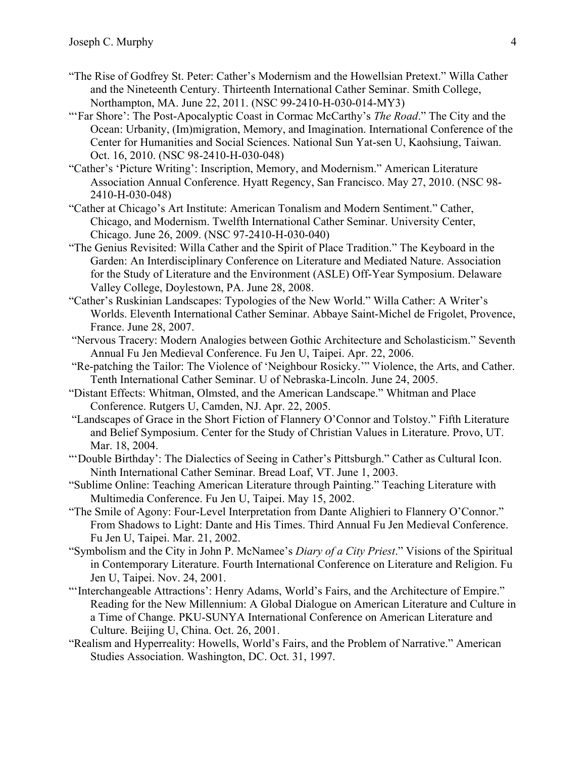- "The Rise of Godfrey St. Peter: Cather's Modernism and the Howellsian Pretext." Willa Cather and the Nineteenth Century. Thirteenth International Cather Seminar. Smith College, Northampton, MA. June 22, 2011. (NSC 99-2410-H-030-014-MY3)
- "'Far Shore': The Post-Apocalyptic Coast in Cormac McCarthy's *The Road*." The City and the Ocean: Urbanity, (Im)migration, Memory, and Imagination. International Conference of the Center for Humanities and Social Sciences. National Sun Yat-sen U, Kaohsiung, Taiwan. Oct. 16, 2010. (NSC 98-2410-H-030-048)
- "Cather's 'Picture Writing': Inscription, Memory, and Modernism." American Literature Association Annual Conference. Hyatt Regency, San Francisco. May 27, 2010. (NSC 98- 2410-H-030-048)
- "Cather at Chicago's Art Institute: American Tonalism and Modern Sentiment." Cather, Chicago, and Modernism. Twelfth International Cather Seminar. University Center, Chicago. June 26, 2009. (NSC 97-2410-H-030-040)
- "The Genius Revisited: Willa Cather and the Spirit of Place Tradition." The Keyboard in the Garden: An Interdisciplinary Conference on Literature and Mediated Nature. Association for the Study of Literature and the Environment (ASLE) Off-Year Symposium. Delaware Valley College, Doylestown, PA. June 28, 2008.
- "Cather's Ruskinian Landscapes: Typologies of the New World." Willa Cather: A Writer's Worlds. Eleventh International Cather Seminar. Abbaye Saint-Michel de Frigolet, Provence, France. June 28, 2007.
- "Nervous Tracery: Modern Analogies between Gothic Architecture and Scholasticism." Seventh Annual Fu Jen Medieval Conference. Fu Jen U, Taipei. Apr. 22, 2006.
- "Re-patching the Tailor: The Violence of 'Neighbour Rosicky.'" Violence, the Arts, and Cather. Tenth International Cather Seminar. U of Nebraska-Lincoln. June 24, 2005.
- "Distant Effects: Whitman, Olmsted, and the American Landscape." Whitman and Place Conference. Rutgers U, Camden, NJ. Apr. 22, 2005.
- "Landscapes of Grace in the Short Fiction of Flannery O'Connor and Tolstoy." Fifth Literature and Belief Symposium. Center for the Study of Christian Values in Literature. Provo, UT. Mar. 18, 2004.
- "'Double Birthday': The Dialectics of Seeing in Cather's Pittsburgh." Cather as Cultural Icon. Ninth International Cather Seminar. Bread Loaf, VT. June 1, 2003.
- "Sublime Online: Teaching American Literature through Painting." Teaching Literature with Multimedia Conference. Fu Jen U, Taipei. May 15, 2002.
- "The Smile of Agony: Four-Level Interpretation from Dante Alighieri to Flannery O'Connor." From Shadows to Light: Dante and His Times. Third Annual Fu Jen Medieval Conference. Fu Jen U, Taipei. Mar. 21, 2002.
- "Symbolism and the City in John P. McNamee's *Diary of a City Priest*." Visions of the Spiritual in Contemporary Literature. Fourth International Conference on Literature and Religion. Fu Jen U, Taipei. Nov. 24, 2001.
- "'Interchangeable Attractions': Henry Adams, World's Fairs, and the Architecture of Empire." Reading for the New Millennium: A Global Dialogue on American Literature and Culture in a Time of Change. PKU-SUNYA International Conference on American Literature and Culture. Beijing U, China. Oct. 26, 2001.
- "Realism and Hyperreality: Howells, World's Fairs, and the Problem of Narrative." American Studies Association. Washington, DC. Oct. 31, 1997.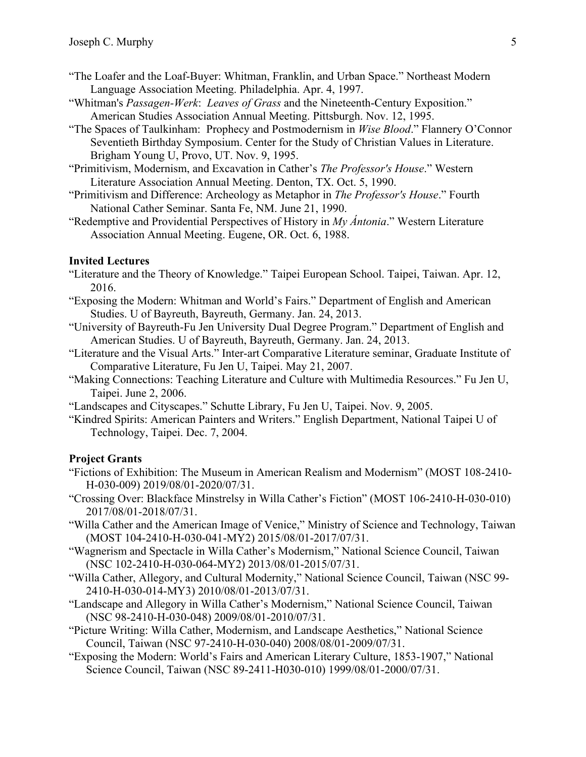- "The Loafer and the Loaf-Buyer: Whitman, Franklin, and Urban Space." Northeast Modern Language Association Meeting. Philadelphia. Apr. 4, 1997.
- "Whitman's *Passagen-Werk*: *Leaves of Grass* and the Nineteenth-Century Exposition." American Studies Association Annual Meeting. Pittsburgh. Nov. 12, 1995.
- "The Spaces of Taulkinham: Prophecy and Postmodernism in *Wise Blood*." Flannery O'Connor Seventieth Birthday Symposium. Center for the Study of Christian Values in Literature. Brigham Young U, Provo, UT. Nov. 9, 1995.
- "Primitivism, Modernism, and Excavation in Cather's *The Professor's House*." Western Literature Association Annual Meeting. Denton, TX. Oct. 5, 1990.
- "Primitivism and Difference: Archeology as Metaphor in *The Professor's House*." Fourth National Cather Seminar. Santa Fe, NM. June 21, 1990.
- "Redemptive and Providential Perspectives of History in *My Ántonia*." Western Literature Association Annual Meeting. Eugene, OR. Oct. 6, 1988.

### **Invited Lectures**

- "Literature and the Theory of Knowledge." Taipei European School. Taipei, Taiwan. Apr. 12, 2016.
- "Exposing the Modern: Whitman and World's Fairs." Department of English and American Studies. U of Bayreuth, Bayreuth, Germany. Jan. 24, 2013.
- "University of Bayreuth-Fu Jen University Dual Degree Program." Department of English and American Studies. U of Bayreuth, Bayreuth, Germany. Jan. 24, 2013.
- "Literature and the Visual Arts." Inter-art Comparative Literature seminar, Graduate Institute of Comparative Literature, Fu Jen U, Taipei. May 21, 2007.
- "Making Connections: Teaching Literature and Culture with Multimedia Resources." Fu Jen U, Taipei. June 2, 2006.
- "Landscapes and Cityscapes." Schutte Library, Fu Jen U, Taipei. Nov. 9, 2005.
- "Kindred Spirits: American Painters and Writers." English Department, National Taipei U of Technology, Taipei. Dec. 7, 2004.

## **Project Grants**

- "Fictions of Exhibition: The Museum in American Realism and Modernism" (MOST 108-2410- H-030-009) 2019/08/01-2020/07/31.
- "Crossing Over: Blackface Minstrelsy in Willa Cather's Fiction" (MOST 106-2410-H-030-010) 2017/08/01-2018/07/31.
- "Willa Cather and the American Image of Venice," Ministry of Science and Technology, Taiwan (MOST 104-2410-H-030-041-MY2) 2015/08/01-2017/07/31.
- "Wagnerism and Spectacle in Willa Cather's Modernism," National Science Council, Taiwan (NSC 102-2410-H-030-064-MY2) 2013/08/01-2015/07/31.
- "Willa Cather, Allegory, and Cultural Modernity," National Science Council, Taiwan (NSC 99- 2410-H-030-014-MY3) 2010/08/01-2013/07/31.
- "Landscape and Allegory in Willa Cather's Modernism," National Science Council, Taiwan (NSC 98-2410-H-030-048) 2009/08/01-2010/07/31.
- "Picture Writing: Willa Cather, Modernism, and Landscape Aesthetics," National Science Council, Taiwan (NSC 97-2410-H-030-040) 2008/08/01-2009/07/31.
- "Exposing the Modern: World's Fairs and American Literary Culture, 1853-1907," National Science Council, Taiwan (NSC 89-2411-H030-010) 1999/08/01-2000/07/31.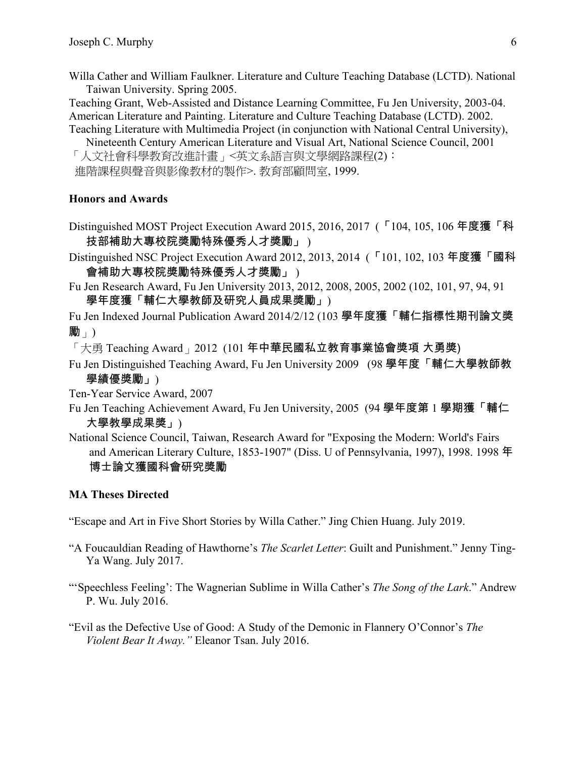Willa Cather and William Faulkner. Literature and Culture Teaching Database (LCTD). National Taiwan University. Spring 2005.

Teaching Grant, Web-Assisted and Distance Learning Committee, Fu Jen University, 2003-04. American Literature and Painting. Literature and Culture Teaching Database (LCTD). 2002.

Teaching Literature with Multimedia Project (in conjunction with National Central University), Nineteenth Century American Literature and Visual Art, National Science Council, 2001

「人文社會科學教育改進計畫」<英文系語言與文學網路課程(2):

進階課程與聲音與影像教材的製作>. 教育部顧問室, 1999.

## **Honors and Awards**

Distinguished MOST Project Execution Award 2015, 2016, 2017 (「104, 105, 106 年度獲「科 技部補助大專校院獎勵特殊優秀人才獎勵」 )

Distinguished NSC Project Execution Award 2012, 2013, 2014 (「101, 102, 103 年度獲「國科 會補助大專校院獎勵特殊優秀人才獎勵」 )

Fu Jen Research Award, Fu Jen University 2013, 2012, 2008, 2005, 2002 (102, 101, 97, 94, 91 學年度獲「輔仁大學教師及研究人員成果獎勵」)

Fu Jen Indexed Journal Publication Award 2014/2/12 (103 學年度獲「輔仁指標性期刊論文獎 勵」)

 $\lceil \pm \sqrt{2} \rceil$  Teaching Award  $\lceil 2012 \rceil$  (101 年中華民國私立教育事業協會獎項 大勇獎)

Fu Jen Distinguished Teaching Award, Fu Jen University 2009 (98 學年度「輔仁大學教師教 學績優獎勵」)

Ten-Year Service Award, 2007

Fu Jen Teaching Achievement Award, Fu Jen University, 2005 (94 學年度第 1 學期獲「輔仁 大學教學成果獎」)

National Science Council, Taiwan, Research Award for "Exposing the Modern: World's Fairs and American Literary Culture, 1853-1907" (Diss. U of Pennsylvania, 1997), 1998. 1998 年 博士論文獲國科會研究獎勵

## **MA Theses Directed**

"Escape and Art in Five Short Stories by Willa Cather." Jing Chien Huang. July 2019.

"A Foucauldian Reading of Hawthorne's *The Scarlet Letter*: Guilt and Punishment." Jenny Ting-Ya Wang. July 2017.

"'Speechless Feeling': The Wagnerian Sublime in Willa Cather's *The Song of the Lark*." Andrew P. Wu. July 2016.

"Evil as the Defective Use of Good: A Study of the Demonic in Flannery O'Connor's *The Violent Bear It Away."* Eleanor Tsan. July 2016.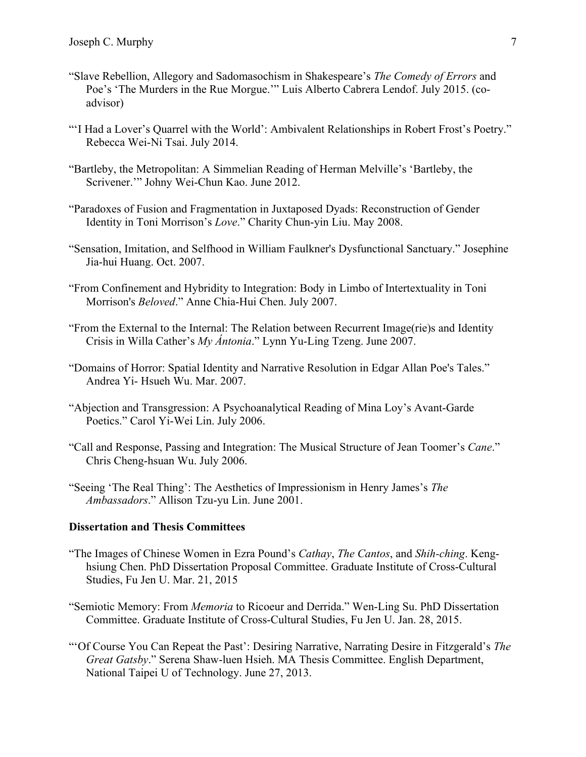- "Slave Rebellion, Allegory and Sadomasochism in Shakespeare's *The Comedy of Errors* and Poe's 'The Murders in the Rue Morgue.'" Luis Alberto Cabrera Lendof. July 2015. (coadvisor)
- "'I Had a Lover's Quarrel with the World': Ambivalent Relationships in Robert Frost's Poetry." Rebecca Wei-Ni Tsai. July 2014.
- "Bartleby, the Metropolitan: A Simmelian Reading of Herman Melville's 'Bartleby, the Scrivener.'" Johny Wei-Chun Kao. June 2012.
- "Paradoxes of Fusion and Fragmentation in Juxtaposed Dyads: Reconstruction of Gender Identity in Toni Morrison's *Love*." Charity Chun-yin Liu. May 2008.
- "Sensation, Imitation, and Selfhood in William Faulkner's Dysfunctional Sanctuary." Josephine Jia-hui Huang. Oct. 2007.
- "From Confinement and Hybridity to Integration: Body in Limbo of Intertextuality in Toni Morrison's *Beloved*." Anne Chia-Hui Chen. July 2007.
- "From the External to the Internal: The Relation between Recurrent Image(rie)s and Identity Crisis in Willa Cather's *My Ántonia*." Lynn Yu-Ling Tzeng. June 2007.
- "Domains of Horror: Spatial Identity and Narrative Resolution in Edgar Allan Poe's Tales." Andrea Yi- Hsueh Wu. Mar. 2007.
- "Abjection and Transgression: A Psychoanalytical Reading of Mina Loy's Avant-Garde Poetics." Carol Yi-Wei Lin. July 2006.
- "Call and Response, Passing and Integration: The Musical Structure of Jean Toomer's *Cane*." Chris Cheng-hsuan Wu. July 2006.
- "Seeing 'The Real Thing': The Aesthetics of Impressionism in Henry James's *The Ambassadors*." Allison Tzu-yu Lin. June 2001.

### **Dissertation and Thesis Committees**

- "The Images of Chinese Women in Ezra Pound's *Cathay*, *The Cantos*, and *Shih-ching*. Kenghsiung Chen. PhD Dissertation Proposal Committee. Graduate Institute of Cross-Cultural Studies, Fu Jen U. Mar. 21, 2015
- "Semiotic Memory: From *Memoria* to Ricoeur and Derrida." Wen-Ling Su. PhD Dissertation Committee. Graduate Institute of Cross-Cultural Studies, Fu Jen U. Jan. 28, 2015.
- "'Of Course You Can Repeat the Past': Desiring Narrative, Narrating Desire in Fitzgerald's *The Great Gatsby*." Serena Shaw-luen Hsieh. MA Thesis Committee. English Department, National Taipei U of Technology. June 27, 2013.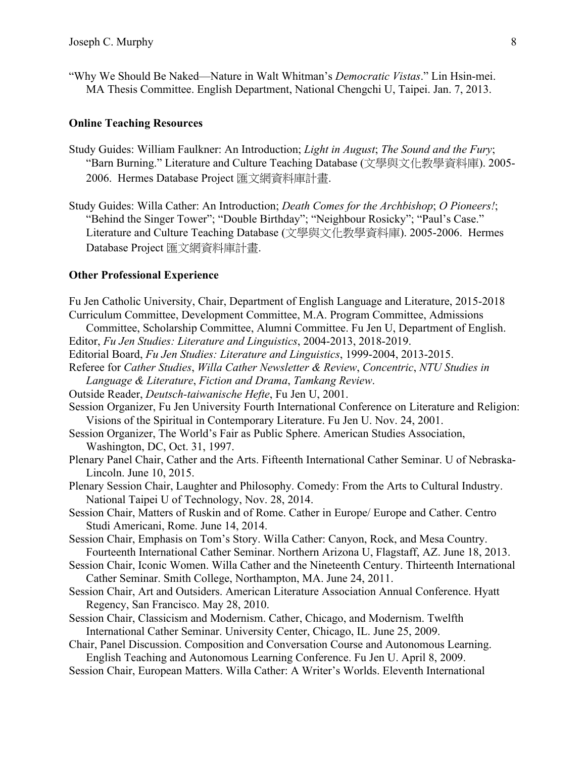"Why We Should Be Naked—Nature in Walt Whitman's *Democratic Vistas*." Lin Hsin-mei. MA Thesis Committee. English Department, National Chengchi U, Taipei. Jan. 7, 2013.

### **Online Teaching Resources**

- Study Guides: William Faulkner: An Introduction; *Light in August*; *The Sound and the Fury*; "Barn Burning." Literature and Culture Teaching Database (文學與文化教學資料庫). 2005- 2006. Hermes Database Project 匯文網資料庫計畫.
- Study Guides: Willa Cather: An Introduction; *Death Comes for the Archbishop*; *O Pioneers!*; "Behind the Singer Tower"; "Double Birthday"; "Neighbour Rosicky"; "Paul's Case." Literature and Culture Teaching Database (文學與文化教學資料庫). 2005-2006. Hermes Database Project 匯文網資料庫計畫.

### **Other Professional Experience**

Fu Jen Catholic University, Chair, Department of English Language and Literature, 2015-2018 Curriculum Committee, Development Committee, M.A. Program Committee, Admissions Committee, Scholarship Committee, Alumni Committee. Fu Jen U, Department of English. Editor, *Fu Jen Studies: Literature and Linguistics*, 2004-2013, 2018-2019. Editorial Board, *Fu Jen Studies: Literature and Linguistics*, 1999-2004, 2013-2015. Referee for *Cather Studies*, *Willa Cather Newsletter & Review*, *Concentric*, *NTU Studies in Language & Literature*, *Fiction and Drama*, *Tamkang Review*. Outside Reader, *Deutsch-taiwanische Hefte*, Fu Jen U, 2001. Session Organizer, Fu Jen University Fourth International Conference on Literature and Religion: Visions of the Spiritual in Contemporary Literature. Fu Jen U. Nov. 24, 2001. Session Organizer, The World's Fair as Public Sphere. American Studies Association, Washington, DC, Oct. 31, 1997. Plenary Panel Chair, Cather and the Arts. Fifteenth International Cather Seminar. U of Nebraska-Lincoln. June 10, 2015. Plenary Session Chair, Laughter and Philosophy. Comedy: From the Arts to Cultural Industry. National Taipei U of Technology, Nov. 28, 2014. Session Chair, Matters of Ruskin and of Rome. Cather in Europe/ Europe and Cather. Centro Studi Americani, Rome. June 14, 2014. Session Chair, Emphasis on Tom's Story. Willa Cather: Canyon, Rock, and Mesa Country. Fourteenth International Cather Seminar. Northern Arizona U, Flagstaff, AZ. June 18, 2013. Session Chair, Iconic Women. Willa Cather and the Nineteenth Century. Thirteenth International Cather Seminar. Smith College, Northampton, MA. June 24, 2011. Session Chair, Art and Outsiders. American Literature Association Annual Conference. Hyatt Regency, San Francisco. May 28, 2010. Session Chair, Classicism and Modernism. Cather, Chicago, and Modernism. Twelfth International Cather Seminar. University Center, Chicago, IL. June 25, 2009. Chair, Panel Discussion. Composition and Conversation Course and Autonomous Learning. English Teaching and Autonomous Learning Conference. Fu Jen U. April 8, 2009. Session Chair, European Matters. Willa Cather: A Writer's Worlds. Eleventh International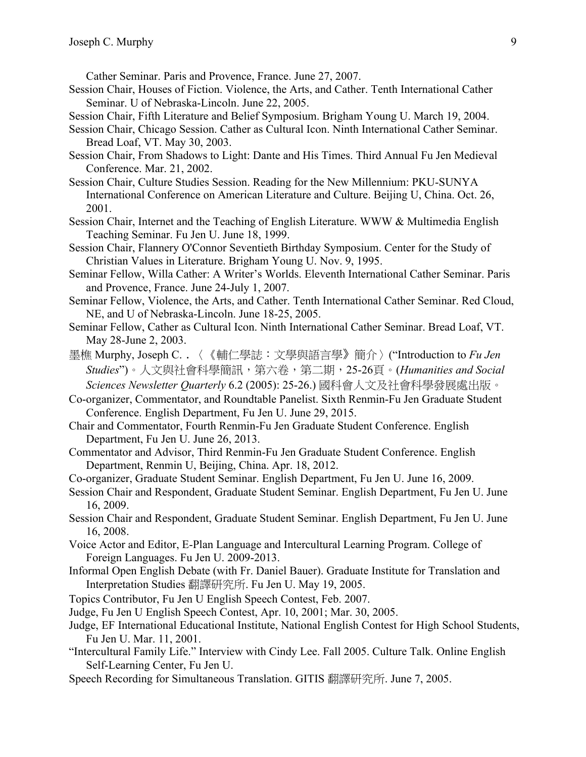Cather Seminar. Paris and Provence, France. June 27, 2007.

- Session Chair, Houses of Fiction. Violence, the Arts, and Cather. Tenth International Cather Seminar. U of Nebraska-Lincoln. June 22, 2005.
- Session Chair, Fifth Literature and Belief Symposium. Brigham Young U. March 19, 2004.
- Session Chair, Chicago Session. Cather as Cultural Icon. Ninth International Cather Seminar. Bread Loaf, VT. May 30, 2003.
- Session Chair, From Shadows to Light: Dante and His Times. Third Annual Fu Jen Medieval Conference. Mar. 21, 2002.
- Session Chair, Culture Studies Session. Reading for the New Millennium: PKU-SUNYA International Conference on American Literature and Culture. Beijing U, China. Oct. 26, 2001.
- Session Chair, Internet and the Teaching of English Literature. WWW & Multimedia English Teaching Seminar. Fu Jen U. June 18, 1999.
- Session Chair, Flannery O'Connor Seventieth Birthday Symposium. Center for the Study of Christian Values in Literature. Brigham Young U. Nov. 9, 1995.
- Seminar Fellow, Willa Cather: A Writer's Worlds. Eleventh International Cather Seminar. Paris and Provence, France. June 24-July 1, 2007.
- Seminar Fellow, Violence, the Arts, and Cather. Tenth International Cather Seminar. Red Cloud, NE, and U of Nebraska-Lincoln. June 18-25, 2005.
- Seminar Fellow, Cather as Cultural Icon. Ninth International Cather Seminar. Bread Loaf, VT. May 28-June 2, 2003.
- 墨樵 Murphy, Joseph C.﹒〈《輔仁學誌:文學與語言學》簡介〉("Introduction to *Fu Jen Studies*")。人文與社會科學簡訊,第六卷,第二期,25-26頁。(*Humanities and Social Sciences Newsletter Quarterly* 6.2 (2005): 25-26.) 國科會人文及社會科學發展處出版。
- Co-organizer, Commentator, and Roundtable Panelist. Sixth Renmin-Fu Jen Graduate Student Conference. English Department, Fu Jen U. June 29, 2015.
- Chair and Commentator, Fourth Renmin-Fu Jen Graduate Student Conference. English Department, Fu Jen U. June 26, 2013.
- Commentator and Advisor, Third Renmin-Fu Jen Graduate Student Conference. English Department, Renmin U, Beijing, China. Apr. 18, 2012.
- Co-organizer, Graduate Student Seminar. English Department, Fu Jen U. June 16, 2009.
- Session Chair and Respondent, Graduate Student Seminar. English Department, Fu Jen U. June 16, 2009.
- Session Chair and Respondent, Graduate Student Seminar. English Department, Fu Jen U. June 16, 2008.
- Voice Actor and Editor, E-Plan Language and Intercultural Learning Program. College of Foreign Languages. Fu Jen U. 2009-2013.
- Informal Open English Debate (with Fr. Daniel Bauer). Graduate Institute for Translation and Interpretation Studies 翻譯研究所. Fu Jen U. May 19, 2005.
- Topics Contributor, Fu Jen U English Speech Contest, Feb. 2007.
- Judge, Fu Jen U English Speech Contest, Apr. 10, 2001; Mar. 30, 2005.
- Judge, EF International Educational Institute, National English Contest for High School Students, Fu Jen U. Mar. 11, 2001.
- "Intercultural Family Life." Interview with Cindy Lee. Fall 2005. Culture Talk. Online English Self-Learning Center, Fu Jen U.
- Speech Recording for Simultaneous Translation. GITIS 翻譯研究所. June 7, 2005.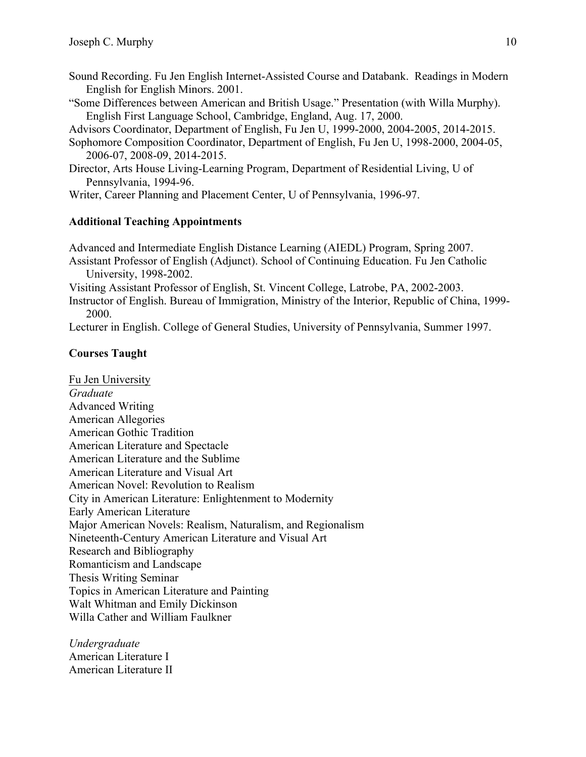- Sound Recording. Fu Jen English Internet-Assisted Course and Databank. Readings in Modern English for English Minors. 2001.
- "Some Differences between American and British Usage." Presentation (with Willa Murphy). English First Language School, Cambridge, England, Aug. 17, 2000.

Advisors Coordinator, Department of English, Fu Jen U, 1999-2000, 2004-2005, 2014-2015.

Sophomore Composition Coordinator, Department of English, Fu Jen U, 1998-2000, 2004-05, 2006-07, 2008-09, 2014-2015.

Director, Arts House Living-Learning Program, Department of Residential Living, U of Pennsylvania, 1994-96.

Writer, Career Planning and Placement Center, U of Pennsylvania, 1996-97.

## **Additional Teaching Appointments**

Advanced and Intermediate English Distance Learning (AIEDL) Program, Spring 2007. Assistant Professor of English (Adjunct). School of Continuing Education. Fu Jen Catholic University, 1998-2002. Visiting Assistant Professor of English, St. Vincent College, Latrobe, PA, 2002-2003. Instructor of English. Bureau of Immigration, Ministry of the Interior, Republic of China, 1999- 2000.

Lecturer in English. College of General Studies, University of Pennsylvania, Summer 1997.

# **Courses Taught**

Fu Jen University *Graduate* Advanced Writing American Allegories American Gothic Tradition American Literature and Spectacle American Literature and the Sublime American Literature and Visual Art American Novel: Revolution to Realism City in American Literature: Enlightenment to Modernity Early American Literature Major American Novels: Realism, Naturalism, and Regionalism Nineteenth-Century American Literature and Visual Art Research and Bibliography Romanticism and Landscape Thesis Writing Seminar Topics in American Literature and Painting Walt Whitman and Emily Dickinson Willa Cather and William Faulkner

*Undergraduate*  American Literature I American Literature II